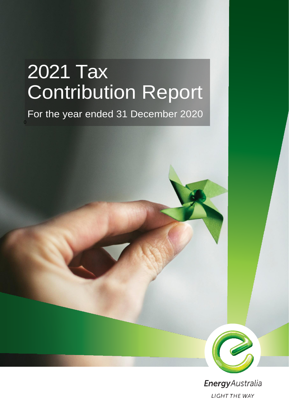# 2021 Tax Contribution Report

# For the year ended 31 December 2020

0



EnergyAustralia **LIGHT THE WAY**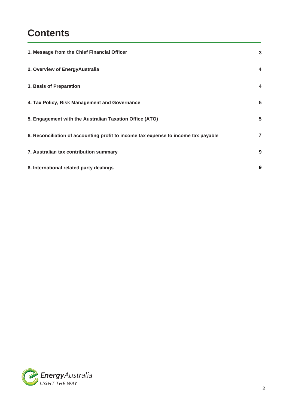## **Contents**

| 1. Message from the Chief Financial Officer                                        | $\mathbf{3}$            |
|------------------------------------------------------------------------------------|-------------------------|
| 2. Overview of EnergyAustralia                                                     | 4                       |
| 3. Basis of Preparation                                                            | $\overline{\mathbf{4}}$ |
| 4. Tax Policy, Risk Management and Governance                                      | 5                       |
| 5. Engagement with the Australian Taxation Office (ATO)                            | 5                       |
| 6. Reconciliation of accounting profit to income tax expense to income tax payable | $\overline{7}$          |
| 7. Australian tax contribution summary                                             | 9                       |
| 8. International related party dealings                                            | 9                       |

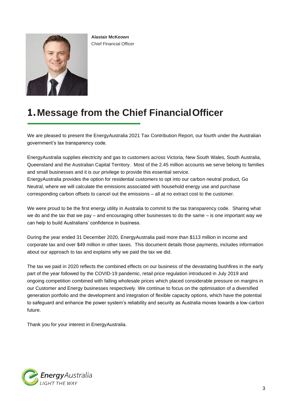

**Alastair McKeown** Chief Financial Officer

#### **1.Message from the Chief FinancialOfficer**

We are pleased to present the EnergyAustralia 2021 Tax Contribution Report, our fourth under the Australian government's tax transparency code.

EnergyAustralia supplies electricity and gas to customers across Victoria, New South Wales, South Australia, Queensland and the Australian Capital Territory. Most of the 2.45 million accounts we serve belong to families and small businesses and it is our privilege to provide this essential service. EnergyAustralia provides the option for residential customers to opt into our carbon neutral product, Go

Neutral, where we will calculate the emissions associated with household energy use and purchase corresponding carbon offsets to cancel out the emissions – all at no extract cost to the customer.

We were proud to be the first energy utility in Australia to commit to the tax transparency code. Sharing what we do and the tax that we pay – and encouraging other businesses to do the same – is one important way we can help to build Australians' confidence in business.

During the year ended 31 December 2020, EnergyAustralia paid more than \$113 million in income and corporate tax and over \$49 million in other taxes. This document details those payments, includes information about our approach to tax and explains why we paid the tax we did.

The tax we paid in 2020 reflects the combined effects on our business of the devastating bushfires in the early part of the year followed by the COVID-19 pandemic, retail price regulation introduced in July 2019 and ongoing competition combined with falling wholesale prices which placed considerable pressure on margins in our Customer and Energy businesses respectively. We continue to focus on the optimisation of a diversified generation portfolio and the development and integration of flexible capacity options, which have the potential to safeguard and enhance the power system's reliability and security as Australia moves towards a low-carbon future.

Thank you for your interest in EnergyAustralia.

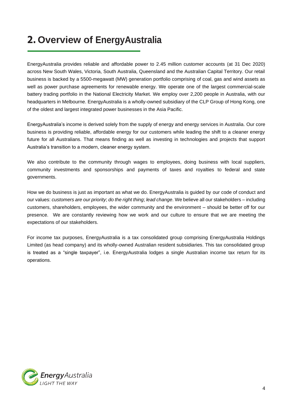## **2. Overview of EnergyAustralia**

EnergyAustralia provides reliable and affordable power to 2.45 million customer accounts (at 31 Dec 2020) across New South Wales, Victoria, South Australia, Queensland and the Australian Capital Territory. Our retail business is backed by a 5500-megawatt (MW) generation portfolio comprising of coal, gas and wind assets as well as power purchase agreements for renewable energy. We operate one of the largest commercial-scale battery trading portfolio in the National Electricity Market. We employ over 2,200 people in Australia, with our headquarters in Melbourne. EnergyAustralia is a wholly-owned subsidiary of the CLP Group of Hong Kong, one of the oldest and largest integrated power businesses in the Asia Pacific.

EnergyAustralia's income is derived solely from the supply of energy and energy services in Australia. Our core business is providing reliable, affordable energy for our customers while leading the shift to a cleaner energy future for all Australians. That means finding as well as investing in technologies and projects that support Australia's transition to a modern, cleaner energy system.

We also contribute to the community through wages to employees, doing business with local suppliers, community investments and sponsorships and payments of taxes and royalties to federal and state governments.

How we do business is just as important as what we do. EnergyAustralia is guided by our code of conduct and our values: *customers are our priority*; *do the right thing*; *lead change*. We believe all our stakeholders – including customers, shareholders, employees, the wider community and the environment – should be better off for our presence. We are constantly reviewing how we work and our culture to ensure that we are meeting the expectations of our stakeholders.

For income tax purposes, EnergyAustralia is a tax consolidated group comprising EnergyAustralia Holdings Limited (as head company) and its wholly-owned Australian resident subsidiaries. This tax consolidated group is treated as a "single taxpayer", i.e. EnergyAustralia lodges a single Australian income tax return for its operations.

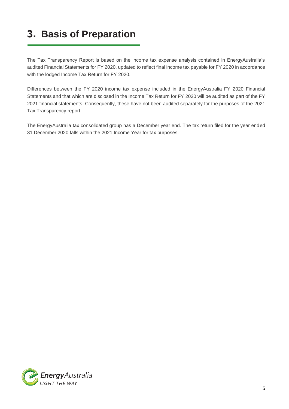# **3. Basis of Preparation**

The Tax Transparency Report is based on the income tax expense analysis contained in EnergyAustralia's audited Financial Statements for FY 2020, updated to reflect final income tax payable for FY 2020 in accordance with the lodged Income Tax Return for FY 2020.

Differences between the FY 2020 income tax expense included in the EnergyAustralia FY 2020 Financial Statements and that which are disclosed in the Income Tax Return for FY 2020 will be audited as part of the FY 2021 financial statements. Consequently, these have not been audited separately for the purposes of the 2021 Tax Transparency report.

The EnergyAustralia tax consolidated group has a December year end. The tax return filed for the year ended 31 December 2020 falls within the 2021 Income Year for tax purposes.

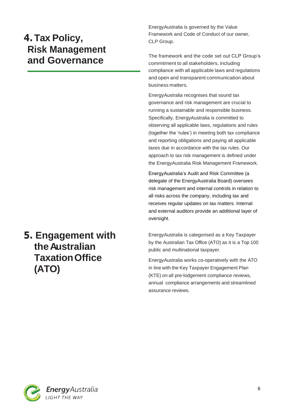### **4.Tax Policy, Risk Management and Governance**

## **5. Engagement with theAustralian TaxationOffice (ATO)**

EnergyAustralia is governed by the Value Framework and Code of Conduct of our owner, CLP Group.

The framework and the code set out CLP Group's commitment to all stakeholders, including compliance with all applicable laws and regulations and open and transparent communication about business matters.

EnergyAustralia recognises that sound tax governance and risk management are crucial to running a sustainable and responsible business. Specifically, EnergyAustralia is committed to observing all applicable laws, regulations and rules (together the 'rules') in meeting both tax compliance and reporting obligations and paying all applicable taxes due in accordance with the tax rules. Our approach to tax risk management is defined under the EnergyAustralia Risk Management Framework.

EnergyAustralia's Audit and Risk Committee (a delegate of the EnergyAustralia Board) oversees risk management and internal controls in relation to all risks across the company, including tax and receives regular updates on tax matters. Internal and external auditors provide an additional layer of oversight.

EnergyAustralia is categorised as a Key Taxpayer by the Australian Tax Office (ATO) as it is a Top 100 public and multinational taxpayer.

EnergyAustralia works co-operatively with the ATO in line with the Key Taxpayer Engagement Plan (KTE) on all pre-lodgement compliance reviews, annual compliance arrangements and streamlined assurance reviews.

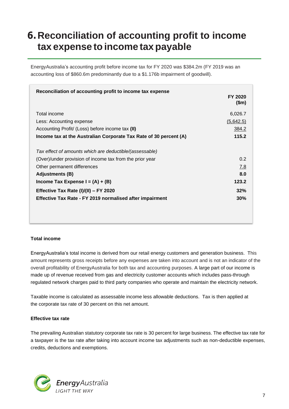#### **6.Reconciliation of accounting profit to income tax expense to income taxpayable**

EnergyAustralia's accounting profit before income tax for FY 2020 was \$384.2m (FY 2019 was an accounting loss of \$860.6m predominantly due to a \$1.176b impairment of goodwill).

| Reconciliation of accounting profit to income tax expense         |                         |
|-------------------------------------------------------------------|-------------------------|
|                                                                   | <b>FY 2020</b><br>\$m\$ |
| Total income                                                      | 6,026.7                 |
| Less: Accounting expense                                          | (5,642.5)               |
| Accounting Profit/ (Loss) before income tax (II)                  | <u>384.2</u>            |
| Income tax at the Australian Corporate Tax Rate of 30 percent (A) | 115.2                   |
|                                                                   |                         |
| Tax effect of amounts which are deductible/(assessable)           |                         |
| (Over)/under provision of income tax from the prior year          | 0.2                     |
| Other permanent differences                                       | 7.8                     |
| <b>Adjustments (B)</b>                                            | 8.0                     |
| Income Tax Expense I = $(A) + (B)$                                | 123.2                   |
| Effective Tax Rate (I)/(II) - FY 2020                             | 32%                     |
| <b>Effective Tax Rate - FY 2019 normalised after impairment</b>   | 30%                     |
|                                                                   |                         |
|                                                                   |                         |
|                                                                   |                         |

#### **Total income**

EnergyAustralia's total income is derived from our retail energy customers and generation business. This amount represents gross receipts before any expenses are taken into account and is not an indicator of the overall profitability of EnergyAustralia for both tax and accounting purposes. A large part of our income is made up of revenue received from gas and electricity customer accounts which includes pass-through regulated network charges paid to third party companies who operate and maintain the electricity network.

Taxable income is calculated as assessable income less allowable deductions. Tax is then applied at the corporate tax rate of 30 percent on this net amount.

#### **Effective tax rate**

The prevailing Australian statutory corporate tax rate is 30 percent for large business. The effective tax rate for a taxpayer is the tax rate after taking into account income tax adjustments such as non-deductible expenses, credits, deductions and exemptions.

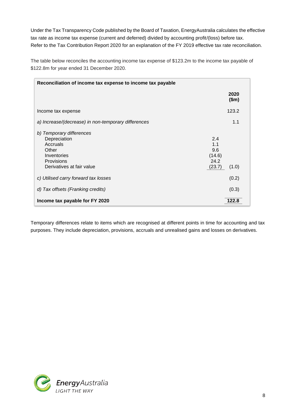Under the Tax Transparency Code published by the Board of Taxation, EnergyAustralia calculates the effective tax rate as income tax expense (current and deferred) divided by accounting profit/(loss) before tax. Refer to the Tax Contribution Report 2020 for an explanation of the FY 2019 effective tax rate reconciliation.

The table below reconciles the accounting income tax expense of \$123.2m to the income tax payable of \$122.8m for year ended 31 December 2020.

| Reconciliation of income tax expense to income tax payable                                                              |                                                        |
|-------------------------------------------------------------------------------------------------------------------------|--------------------------------------------------------|
|                                                                                                                         | 2020<br>\$m\$                                          |
| Income tax expense                                                                                                      | 123.2                                                  |
| a) Increase/(decrease) in non-temporary differences                                                                     | 1.1                                                    |
| b) Temporary differences<br>Depreciation<br>Accruals<br>Other<br>Inventories<br>Provisions<br>Derivatives at fair value | 2.4<br>1.1<br>9.6<br>(14.6)<br>24.2<br>(23.7)<br>(1.0) |
| c) Utilised carry forward tax losses                                                                                    | (0.2)                                                  |
| d) Tax offsets (Franking credits)                                                                                       | (0.3)                                                  |
| Income tax payable for FY 2020                                                                                          | 122.8                                                  |

Temporary differences relate to items which are recognised at different points in time for accounting and tax purposes. They include depreciation, provisions, accruals and unrealised gains and losses on derivatives.